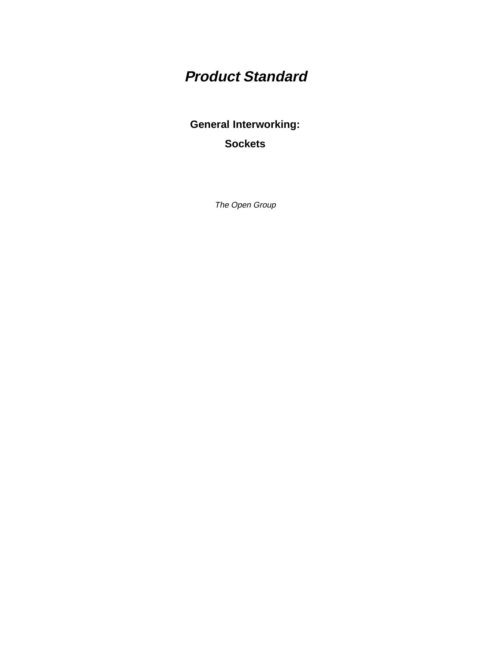# **Product Standard**

**General Interworking: Sockets**

The Open Group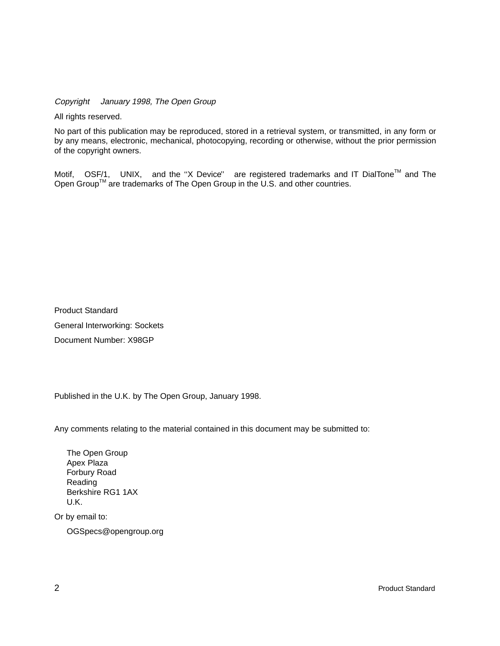Copyright  $\odot$  January 1998, The Open Group

All rights reserved.

No part of this publication may be reproduced, stored in a retrieval system, or transmitted, in any form or by any means, electronic, mechanical, photocopying, recording or otherwise, without the prior permission of the copyright owners.

Motif,  $^{\circledR}$  OSF/1,  $^{\circledR}$  UNIX,  $^{\circledR}$  and the "X Device" $^{\circledR}$  are registered trademarks and IT DialTone<sup>TM</sup> and The Open Group<sup>TM</sup> are trademarks of The Open Group in the U.S. and other countries.

Product Standard General Interworking: Sockets Document Number: X98GP

Published in the U.K. by The Open Group, January 1998.

Any comments relating to the material contained in this document may be submitted to:

The Open Group Apex Plaza Forbury Road Reading Berkshire RG1 1AX U.K.

Or by email to:

OGSpecs@opengroup.org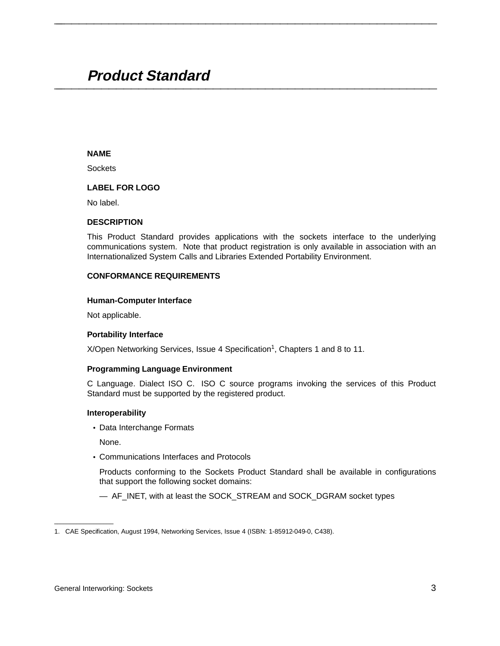# **Product Standard \_\_\_\_\_\_\_\_\_\_\_\_\_\_\_\_\_\_\_\_\_\_\_\_\_\_\_\_\_\_\_\_\_\_\_\_\_\_\_\_\_\_\_\_\_\_\_\_\_\_\_\_**

# **NAME**

**Sockets** 

# **LABEL FOR LOGO**

No label.

#### **DESCRIPTION**

This Product Standard provides applications with the sockets interface to the underlying communications system. Note that product registration is only available in association with an Internationalized System Calls and Libraries Extended Portability Environment.

**\_\_\_\_\_\_\_\_\_\_\_\_\_\_\_\_\_\_\_\_\_\_\_\_\_\_\_\_\_\_\_\_\_\_\_\_\_\_\_\_\_\_\_\_\_\_\_\_\_\_\_\_**

#### **CONFORMANCE REQUIREMENTS**

#### **Human-Computer Interface**

Not applicable.

## **Portability Interface**

X/Open Networking Services, Issue 4 Specification<sup>1</sup>, Chapters 1 and 8 to 11.

## **Programming Language Environment**

C Language. Dialect ISO C. ISO C source programs invoking the services of this Product Standard must be supported by the registered product.

#### **Interoperability**

• Data Interchange Formats

None.

• Communications Interfaces and Protocols

Products conforming to the Sockets Product Standard shall be available in configurations that support the following socket domains:

— AF\_INET, with at least the SOCK\_STREAM and SOCK\_DGRAM socket types

\_\_\_\_\_\_\_\_\_\_\_\_\_\_\_\_\_\_

<sup>1.</sup> CAE Specification, August 1994, Networking Services, Issue 4 (ISBN: 1-85912-049-0, C438).